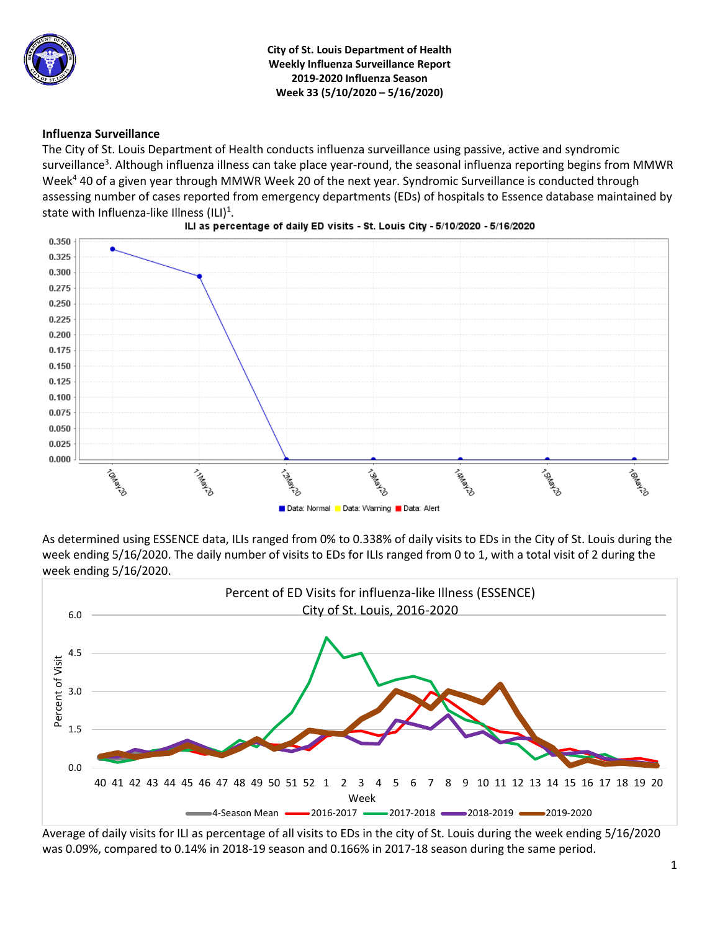

**City of St. Louis Department of Health Weekly Influenza Surveillance Report 2019-2020 Influenza Season Week 33 (5/10/2020 – 5/16/2020)**

### **Influenza Surveillance**

The City of St. Louis Department of Health conducts influenza surveillance using passive, active and syndromic surveillance<sup>3</sup>. Although influenza illness can take place year-round, the seasonal influenza reporting begins from MMWR Week<sup>4</sup> 40 of a given year through MMWR Week 20 of the next year. Syndromic Surveillance is conducted through assessing number of cases reported from emergency departments (EDs) of hospitals to Essence database maintained by state with Influenza-like Illness (ILI)<sup>1</sup>.





As determined using ESSENCE data, ILIs ranged from 0% to 0.338% of daily visits to EDs in the City of St. Louis during the week ending 5/16/2020. The daily number of visits to EDs for ILIs ranged from 0 to 1, with a total visit of 2 during the week ending 5/16/2020.



Average of daily visits for ILI as percentage of all visits to EDs in the city of St. Louis during the week ending 5/16/2020 was 0.09%, compared to 0.14% in 2018-19 season and 0.166% in 2017-18 season during the same period.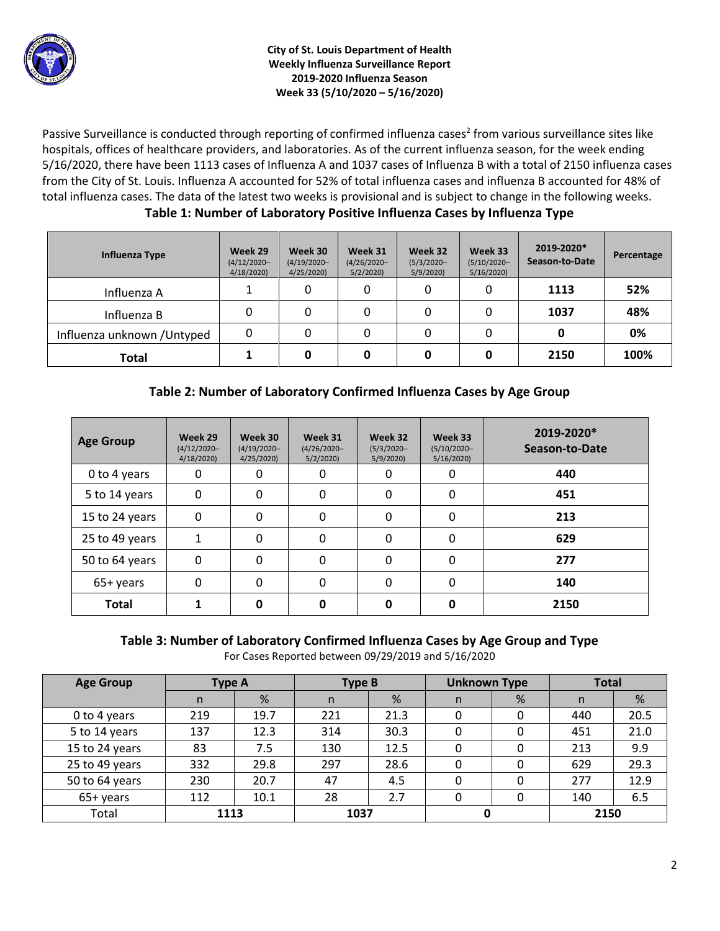

**City of St. Louis Department of Health Weekly Influenza Surveillance Report 2019-2020 Influenza Season Week 33 (5/10/2020 – 5/16/2020)**

Passive Surveillance is conducted through reporting of confirmed influenza cases<sup>2</sup> from various surveillance sites like hospitals, offices of healthcare providers, and laboratories. As of the current influenza season, for the week ending 5/16/2020, there have been 1113 cases of Influenza A and 1037 cases of Influenza B with a total of 2150 influenza cases from the City of St. Louis. Influenza A accounted for 52% of total influenza cases and influenza B accounted for 48% of total influenza cases. The data of the latest two weeks is provisional and is subject to change in the following weeks.

| <b>Influenza Type</b>       | Week 29<br>$(4/12/2020 -$<br>4/18/2020 | Week 30<br>$(4/19/2020 -$<br>4/25/2020 | Week 31<br>$(4/26/2020 -$<br>5/2/2020 | Week 32<br>$(5/3/2020 -$<br>5/9/2020 | Week 33<br>$(5/10/2020 -$<br>5/16/2020 | 2019-2020*<br>Season-to-Date | Percentage |
|-----------------------------|----------------------------------------|----------------------------------------|---------------------------------------|--------------------------------------|----------------------------------------|------------------------------|------------|
| Influenza A                 |                                        | 0                                      | 0                                     | 0                                    |                                        | 1113                         | 52%        |
| Influenza B                 |                                        | 0                                      | 0                                     | 0                                    |                                        | 1037                         | 48%        |
| Influenza unknown / Untyped | 0                                      |                                        |                                       | 0                                    |                                        |                              | 0%         |
| Total                       |                                        | 0                                      | 0                                     | 0                                    | 0                                      | 2150                         | 100%       |

# **Table 1: Number of Laboratory Positive Influenza Cases by Influenza Type**

# **Table 2: Number of Laboratory Confirmed Influenza Cases by Age Group**

| <b>Age Group</b> | Week 29<br>$(4/12/2020 -$<br>4/18/2020 | Week 30<br>$(4/19/2020 -$<br>4/25/2020 | Week 31<br>$(4/26/2020 -$<br>5/2/2020 | Week 32<br>$(5/3/2020 -$<br>5/9/2020 | Week 33<br>$(5/10/2020 -$<br>5/16/2020 | 2019-2020*<br>Season-to-Date |
|------------------|----------------------------------------|----------------------------------------|---------------------------------------|--------------------------------------|----------------------------------------|------------------------------|
| 0 to 4 years     | 0                                      | 0                                      | 0                                     | 0                                    | 0                                      | 440                          |
| 5 to 14 years    | 0                                      | 0                                      | 0                                     | 0                                    | $\Omega$                               | 451                          |
| 15 to 24 years   | 0                                      | 0                                      | 0                                     | 0                                    | 0                                      | 213                          |
| 25 to 49 years   | $\mathbf{1}$                           | 0                                      | 0                                     | 0                                    | $\Omega$                               | 629                          |
| 50 to 64 years   | $\mathbf 0$                            | 0                                      | 0                                     | 0                                    | $\Omega$                               | 277                          |
| 65+ years        | 0                                      | 0                                      | 0                                     | 0                                    | 0                                      | 140                          |
| <b>Total</b>     | 1                                      | 0                                      | 0                                     | 0                                    | O                                      | 2150                         |

### **Table 3: Number of Laboratory Confirmed Influenza Cases by Age Group and Type** For Cases Reported between 09/29/2019 and 5/16/2020

| <b>Age Group</b> | Type A |      | Type B |      | <b>Unknown Type</b> |   | <b>Total</b> |      |
|------------------|--------|------|--------|------|---------------------|---|--------------|------|
|                  | n      | %    | n      | %    | n                   | % | n.           | %    |
| 0 to 4 years     | 219    | 19.7 | 221    | 21.3 | 0                   | 0 | 440          | 20.5 |
| 5 to 14 years    | 137    | 12.3 | 314    | 30.3 | 0                   |   | 451          | 21.0 |
| 15 to 24 years   | 83     | 7.5  | 130    | 12.5 | 0                   |   | 213          | 9.9  |
| 25 to 49 years   | 332    | 29.8 | 297    | 28.6 | 0                   | 0 | 629          | 29.3 |
| 50 to 64 years   | 230    | 20.7 | 47     | 4.5  | 0                   |   | 277          | 12.9 |
| 65+ years        | 112    | 10.1 | 28     | 2.7  | 0                   |   | 140          | 6.5  |
| Total            | 1113   |      | 1037   |      |                     |   | 2150         |      |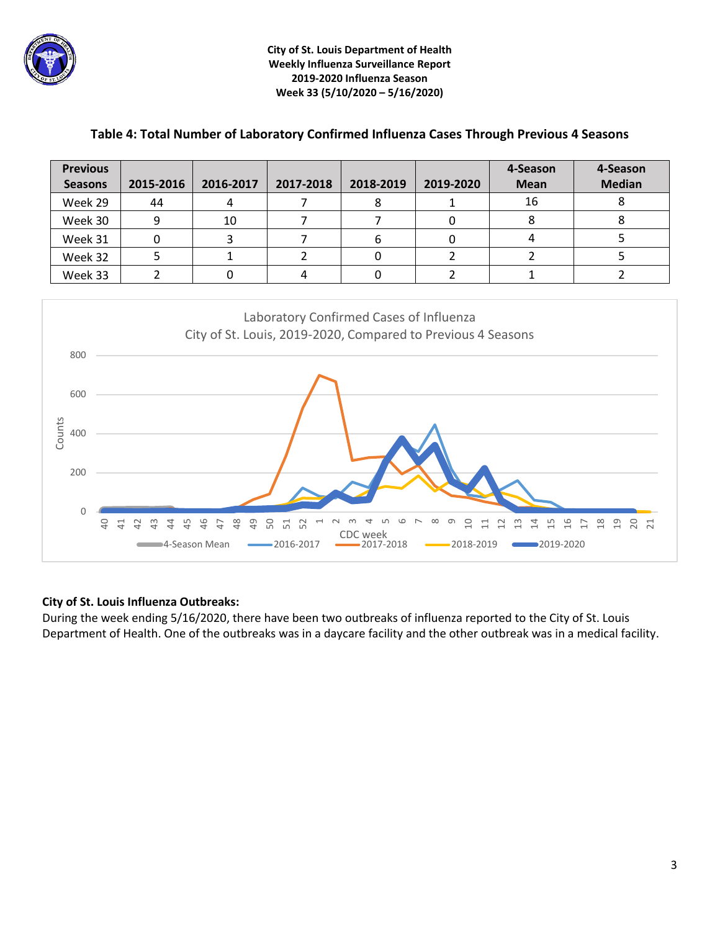



## **Table 4: Total Number of Laboratory Confirmed Influenza Cases Through Previous 4 Seasons**

### **City of St. Louis Influenza Outbreaks:**

During the week ending 5/16/2020, there have been two outbreaks of influenza reported to the City of St. Louis Department of Health. One of the outbreaks was in a daycare facility and the other outbreak was in a medical facility.